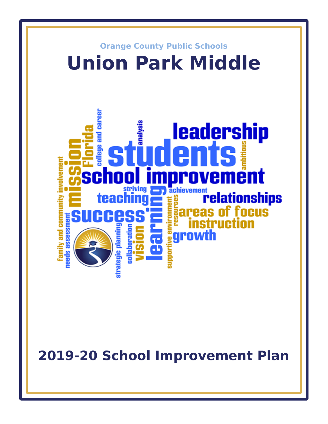

**2019-20 School Improvement Plan**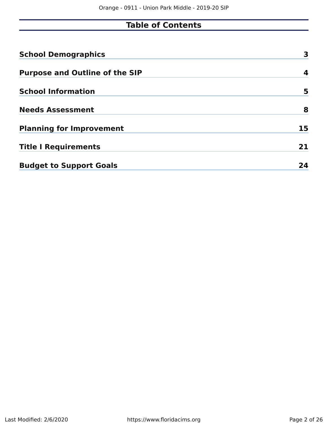## **Table of Contents**

| <b>School Demographics</b>            | 3  |
|---------------------------------------|----|
| <b>Purpose and Outline of the SIP</b> | 4  |
| <b>School Information</b>             | 5  |
| <b>Needs Assessment</b>               | 8  |
| <b>Planning for Improvement</b>       | 15 |
| <b>Title I Requirements</b>           | 21 |
| <b>Budget to Support Goals</b>        | 24 |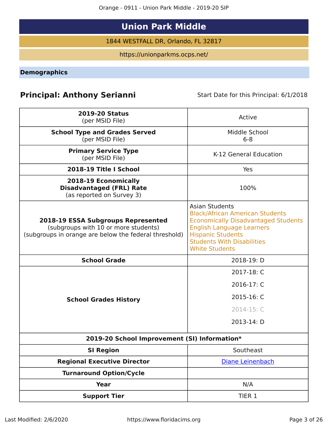Orange - 0911 - Union Park Middle - 2019-20 SIP

# **Union Park Middle**

1844 WESTFALL DR, Orlando, FL 32817

https://unionparkms.ocps.net/

<span id="page-2-0"></span>**Demographics**

## **Principal: Anthony Serianni** Start Date for this Principal: 6/1/2018

| <b>2019-20 Status</b><br>(per MSID File)                                                                                            | Active                                                                                                                                                                                                                                      |
|-------------------------------------------------------------------------------------------------------------------------------------|---------------------------------------------------------------------------------------------------------------------------------------------------------------------------------------------------------------------------------------------|
| <b>School Type and Grades Served</b><br>(per MSID File)                                                                             | Middle School<br>$6 - 8$                                                                                                                                                                                                                    |
| <b>Primary Service Type</b><br>(per MSID File)                                                                                      | K-12 General Education                                                                                                                                                                                                                      |
| 2018-19 Title I School                                                                                                              | Yes                                                                                                                                                                                                                                         |
| 2018-19 Economically<br><b>Disadvantaged (FRL) Rate</b><br>(as reported on Survey 3)                                                | 100%                                                                                                                                                                                                                                        |
| 2018-19 ESSA Subgroups Represented<br>(subgroups with 10 or more students)<br>(subgroups in orange are below the federal threshold) | <b>Asian Students</b><br><b>Black/African American Students</b><br><b>Economically Disadvantaged Students</b><br><b>English Language Learners</b><br><b>Hispanic Students</b><br><b>Students With Disabilities</b><br><b>White Students</b> |
| <b>School Grade</b>                                                                                                                 | 2018-19: D                                                                                                                                                                                                                                  |
|                                                                                                                                     | 2017-18: C                                                                                                                                                                                                                                  |
|                                                                                                                                     | 2016-17: C                                                                                                                                                                                                                                  |
| <b>School Grades History</b>                                                                                                        | 2015-16: C                                                                                                                                                                                                                                  |
|                                                                                                                                     | 2014-15: C                                                                                                                                                                                                                                  |
|                                                                                                                                     | 2013-14: D                                                                                                                                                                                                                                  |
| 2019-20 School Improvement (SI) Information*                                                                                        |                                                                                                                                                                                                                                             |
| <b>SI Region</b>                                                                                                                    | Southeast                                                                                                                                                                                                                                   |
| <b>Regional Executive Director</b>                                                                                                  | Diane Leinenbach                                                                                                                                                                                                                            |
| <b>Turnaround Option/Cycle</b>                                                                                                      |                                                                                                                                                                                                                                             |
| <b>Year</b>                                                                                                                         | N/A                                                                                                                                                                                                                                         |
| <b>Support Tier</b>                                                                                                                 | TIER 1                                                                                                                                                                                                                                      |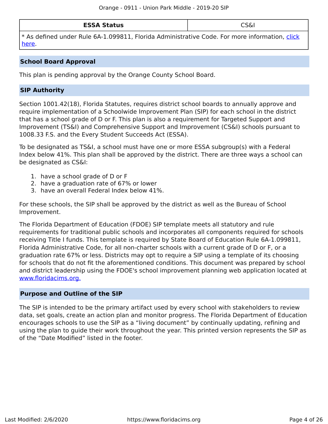\* As defned under Rule 6A-1.099811, Florida Administrative Code. For more information, [click](/downloads?category=da-forms) [here](/downloads?category=da-forms).

#### **School Board Approval**

This plan is pending approval by the Orange County School Board.

#### **SIP Authority**

Section 1001.42(18), Florida Statutes, requires district school boards to annually approve and require implementation of a Schoolwide Improvement Plan (SIP) for each school in the district that has a school grade of D or F. This plan is also a requirement for Targeted Support and Improvement (TS&I) and Comprehensive Support and Improvement (CS&I) schools pursuant to 1008.33 F.S. and the Every Student Succeeds Act (ESSA).

To be designated as TS&I, a school must have one or more ESSA subgroup(s) with a Federal Index below 41%. This plan shall be approved by the district. There are three ways a school can be designated as CS&I:

- 1. have a school grade of D or F
- 2. have a graduation rate of 67% or lower
- 3. have an overall Federal Index below 41%.

For these schools, the SIP shall be approved by the district as well as the Bureau of School Improvement.

The Florida Department of Education (FDOE) SIP template meets all statutory and rule requirements for traditional public schools and incorporates all components required for schools receiving Title I funds. This template is required by State Board of Education Rule 6A-1.099811, Florida Administrative Code, for all non-charter schools with a current grade of D or F, or a graduation rate 67% or less. Districts may opt to require a SIP using a template of its choosing for schools that do not fit the aforementioned conditions. This document was prepared by school and district leadership using the FDOE's school improvement planning web application located at [www.foridacims.org.](https://www.floridacims.org)

#### <span id="page-3-0"></span>**Purpose and Outline of the SIP**

The SIP is intended to be the primary artifact used by every school with stakeholders to review data, set goals, create an action plan and monitor progress. The Florida Department of Education encourages schools to use the SIP as a "living document" by continually updating, refning and using the plan to guide their work throughout the year. This printed version represents the SIP as of the "Date Modifed" listed in the footer.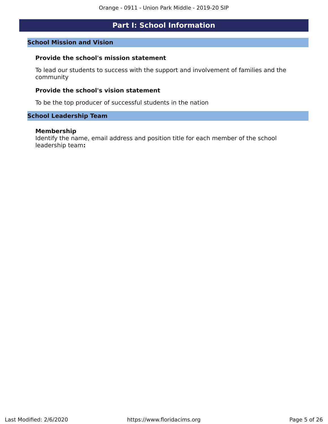## **Part I: School Information**

#### <span id="page-4-0"></span>**School Mission and Vision**

#### **Provide the school's mission statement**

To lead our students to success with the support and involvement of families and the community

#### **Provide the school's vision statement**

To be the top producer of successful students in the nation

#### **School Leadership Team**

#### **Membership**

Identify the name, email address and position title for each member of the school leadership team**:**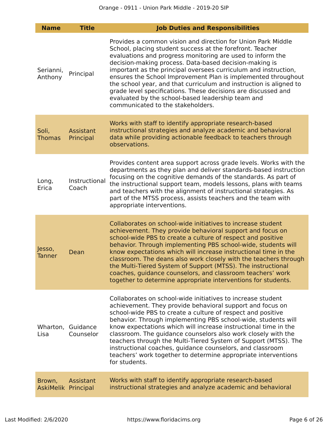| <b>Name</b>                   | <b>Title</b>                   | <b>Job Duties and Responsibilities</b>                                                                                                                                                                                                                                                                                                                                                                                                                                                                                                                                                                                 |
|-------------------------------|--------------------------------|------------------------------------------------------------------------------------------------------------------------------------------------------------------------------------------------------------------------------------------------------------------------------------------------------------------------------------------------------------------------------------------------------------------------------------------------------------------------------------------------------------------------------------------------------------------------------------------------------------------------|
| Serianni,<br>Anthony          | Principal                      | Provides a common vision and direction for Union Park Middle<br>School, placing student success at the forefront. Teacher<br>evaluations and progress monitoring are used to inform the<br>decision-making process. Data-based decision-making is<br>important as the principal oversees curriculum and instruction,<br>ensures the School Improvement Plan is implemented throughout<br>the school year, and that curriculum and instruction is aligned to<br>grade level specifications. These decisions are discussed and<br>evaluated by the school-based leadership team and<br>communicated to the stakeholders. |
| Soli,<br><b>Thomas</b>        | Assistant<br>Principal         | Works with staff to identify appropriate research-based<br>instructional strategies and analyze academic and behavioral<br>data while providing actionable feedback to teachers through<br>observations.                                                                                                                                                                                                                                                                                                                                                                                                               |
| Long,<br>Erica                | Instructional<br>Coach         | Provides content area support across grade levels. Works with the<br>departments as they plan and deliver standards-based instruction<br>focusing on the cognitive demands of the standards. As part of<br>the instructional support team, models lessons, plans with teams<br>and teachers with the alignment of instructional strategies. As<br>part of the MTSS process, assists teachers and the team with<br>appropriate interventions.                                                                                                                                                                           |
| Jesso,<br><b>Tanner</b>       | Dean                           | Collaborates on school-wide initiatives to increase student<br>achievement. They provide behavioral support and focus on<br>school-wide PBS to create a culture of respect and positive<br>behavior. Through implementing PBS school-wide, students will<br>know expectations which will increase instructional time in the<br>classroom. The deans also work closely with the teachers through<br>the Multi-Tiered System of Support (MTSS). The instructional<br>coaches, guidance counselors, and classroom teachers' work<br>together to determine appropriate interventions for students.                         |
| Lisa                          | Wharton, Guidance<br>Counselor | Collaborates on school-wide initiatives to increase student<br>achievement. They provide behavioral support and focus on<br>school-wide PBS to create a culture of respect and positive<br>behavior. Through implementing PBS school-wide, students will<br>know expectations which will increase instructional time in the<br>classroom. The guidance counselors also work closely with the<br>teachers through the Multi-Tiered System of Support (MTSS). The<br>instructional coaches, guidance counselors, and classroom<br>teachers' work together to determine appropriate interventions<br>for students.        |
| Brown,<br>AskiMelik Principal | Assistant                      | Works with staff to identify appropriate research-based<br>instructional strategies and analyze academic and behavioral                                                                                                                                                                                                                                                                                                                                                                                                                                                                                                |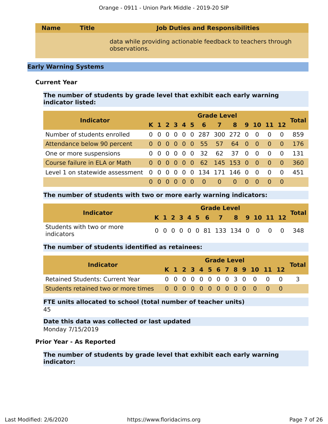| <b>Name</b> | <b>Title</b> | <b>Job Duties and Responsibilities</b>                                        |
|-------------|--------------|-------------------------------------------------------------------------------|
|             |              | data while providing actionable feedback to teachers through<br>observations. |

#### **Early Warning Systems**

#### **Current Year**

#### **The number of students by grade level that exhibit each early warning indicator listed:**

|                                 | <b>Grade Level</b> |                               |  |  |  |            |               |                          |          |  |     |                                     |     |              |  |
|---------------------------------|--------------------|-------------------------------|--|--|--|------------|---------------|--------------------------|----------|--|-----|-------------------------------------|-----|--------------|--|
| <b>Indicator</b>                |                    |                               |  |  |  |            | K 1 2 3 4 5 6 | 7 8 9 10 11 12           |          |  |     |                                     |     | <b>Total</b> |  |
| Number of students enrolled     |                    | $0\quad 0\quad 0\quad 0\quad$ |  |  |  |            |               | 0 0 287 300 272 0        |          |  | - 0 | $\overline{0}$                      |     | 859          |  |
| Attendance below 90 percent     |                    | 000000                        |  |  |  |            | 55 -          | 57                       | 64 0     |  | - O | $\begin{matrix} 0 & 0 \end{matrix}$ |     | 176          |  |
| One or more suspensions         |                    | 000                           |  |  |  | $0\quad 0$ |               | 32 62 37 0               |          |  | - 0 | - 0                                 |     | 131          |  |
| Course failure in ELA or Math   |                    |                               |  |  |  |            |               | 0 0 0 0 0 0 62 145 153 0 |          |  | - റ | $\begin{matrix} 0 & 0 \end{matrix}$ |     | 360          |  |
| Level 1 on statewide assessment | $\overline{0}$     |                               |  |  |  |            |               | 0 0 0 0 0 134 171 146 0  |          |  | - 0 | - 0                                 | - 0 | 451          |  |
|                                 |                    |                               |  |  |  |            |               | $\Omega$                 | $\Omega$ |  | - റ |                                     |     |              |  |

#### **The number of students with two or more early warning indicators:**

| <b>Indicator</b>                        |  |  |  | <b>Grade Level</b>           |  |  | <b>Total</b>                       |
|-----------------------------------------|--|--|--|------------------------------|--|--|------------------------------------|
|                                         |  |  |  | K 1 2 3 4 5 6 7 8 9 10 11 12 |  |  |                                    |
| Students with two or more<br>indicators |  |  |  |                              |  |  | 0 0 0 0 0 0 81 133 134 0 0 0 0 348 |

#### **The number of students identifed as retainees:**

| <b>Indicator</b>                       |  | <b>Grade Level</b> |  |  |  |  |  |  |  |  |  |                              |  |              |  |  |
|----------------------------------------|--|--------------------|--|--|--|--|--|--|--|--|--|------------------------------|--|--------------|--|--|
|                                        |  |                    |  |  |  |  |  |  |  |  |  | K 1 2 3 4 5 6 7 8 9 10 11 12 |  | <b>Total</b> |  |  |
| <b>Retained Students: Current Year</b> |  |                    |  |  |  |  |  |  |  |  |  | 0 0 0 0 0 0 0 0 3 0 0 0 0    |  |              |  |  |
|                                        |  |                    |  |  |  |  |  |  |  |  |  |                              |  |              |  |  |

**FTE units allocated to school (total number of teacher units)** 45

#### **Date this data was collected or last updated** Monday 7/15/2019

#### **Prior Year - As Reported**

#### **The number of students by grade level that exhibit each early warning indicator:**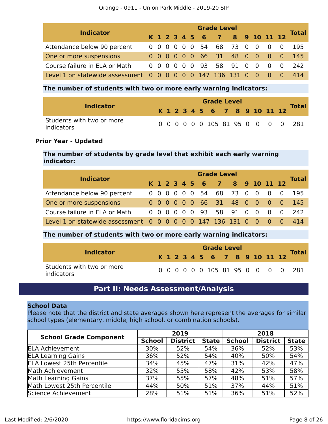| <b>Indicator</b>                                            | <b>Grade Level</b> |  |  |  |  |  |                              |  |  |  |  |                                        |  |              |  |
|-------------------------------------------------------------|--------------------|--|--|--|--|--|------------------------------|--|--|--|--|----------------------------------------|--|--------------|--|
|                                                             |                    |  |  |  |  |  | K 1 2 3 4 5 6 7 8 9 10 11 12 |  |  |  |  |                                        |  | <b>Total</b> |  |
| Attendance below 90 percent                                 |                    |  |  |  |  |  | 0 0 0 0 0 0 54 68 73 0 0     |  |  |  |  | $\begin{matrix} 0 & 0 \end{matrix}$    |  | 195          |  |
| One or more suspensions                                     |                    |  |  |  |  |  | 0 0 0 0 0 0 66 31 48 0 0 0 0 |  |  |  |  |                                        |  | -145         |  |
| Course failure in ELA or Math                               |                    |  |  |  |  |  | 0 0 0 0 0 0 93 58 91 0 0     |  |  |  |  | $\begin{matrix} 0 & 0 \end{matrix}$    |  | -242         |  |
| Level 1 on statewide assessment 0 0 0 0 0 0 147 136 131 0 0 |                    |  |  |  |  |  |                              |  |  |  |  | $\begin{array}{ccc} 0 & 0 \end{array}$ |  |              |  |

#### **The number of students with two or more early warning indicators:**

| <b>Indicator</b>                        |  |  |  | <b>Grade Level</b>           |  |  |  | <b>Total</b>                      |
|-----------------------------------------|--|--|--|------------------------------|--|--|--|-----------------------------------|
|                                         |  |  |  | K 1 2 3 4 5 6 7 8 9 10 11 12 |  |  |  |                                   |
| Students with two or more<br>indicators |  |  |  |                              |  |  |  | 0 0 0 0 0 0 105 81 95 0 0 0 0 281 |

#### **Prior Year - Updated**

#### **The number of students by grade level that exhibit each early warning indicator:**

| <b>Indicator</b>                                            |  | <b>Grade Level</b> |  |  |  |  |  |                              |  |  |  |                                        |     |              |  |  |
|-------------------------------------------------------------|--|--------------------|--|--|--|--|--|------------------------------|--|--|--|----------------------------------------|-----|--------------|--|--|
|                                                             |  |                    |  |  |  |  |  | K 1 2 3 4 5 6 7 8 9 10 11 12 |  |  |  |                                        |     | <b>Total</b> |  |  |
| Attendance below 90 percent                                 |  |                    |  |  |  |  |  | 0 0 0 0 0 0 54 68 73 0 0     |  |  |  | $\overline{0}$                         | - 0 | 195          |  |  |
| One or more suspensions                                     |  |                    |  |  |  |  |  | 0 0 0 0 0 0 66 31 48 0 0 0 0 |  |  |  |                                        |     | -145         |  |  |
| Course failure in ELA or Math                               |  |                    |  |  |  |  |  | 0 0 0 0 0 0 93 58 91 0 0     |  |  |  | $\begin{matrix} 0 & 0 \end{matrix}$    |     | -242         |  |  |
| Level 1 on statewide assessment 0 0 0 0 0 0 147 136 131 0 0 |  |                    |  |  |  |  |  |                              |  |  |  | $\begin{array}{ccc} 0 & 0 \end{array}$ |     |              |  |  |

#### **The number of students with two or more early warning indicators:**

| <b>Indicator</b>                        |  |  |  | <b>Grade Level</b>           |  |  |  | Total                             |
|-----------------------------------------|--|--|--|------------------------------|--|--|--|-----------------------------------|
|                                         |  |  |  | K 1 2 3 4 5 6 7 8 9 10 11 12 |  |  |  |                                   |
| Students with two or more<br>indicators |  |  |  |                              |  |  |  | 0 0 0 0 0 0 105 81 95 0 0 0 0 281 |

### **Part II: Needs Assessment/Analysis**

#### <span id="page-7-0"></span>**School Data**

Please note that the district and state averages shown here represent the averages for similar school types (elementary, middle, high school, or combination schools).

| <b>School Grade Component</b>     |               | 2019            |              | 2018          |                 |              |  |
|-----------------------------------|---------------|-----------------|--------------|---------------|-----------------|--------------|--|
|                                   | <b>School</b> | <b>District</b> | <b>State</b> | <b>School</b> | <b>District</b> | <b>State</b> |  |
| <b>ELA Achievement</b>            | 30%           | 52%             | 54%          | 36%           | 52%             | 53%          |  |
| <b>ELA Learning Gains</b>         | 36%           | 52%             | 54%          | 40%           | 50%             | 54%          |  |
| <b>ELA Lowest 25th Percentile</b> | 34%           | 45%             | 47%          | 31%           | 42%             | 47%          |  |
| Math Achievement                  | 32%           | 55%             | 58%          | 42%           | 53%             | 58%          |  |
| Math Learning Gains               | 37%           | 55%             | 57%          | 48%           | 51%             | 57%          |  |
| Math Lowest 25th Percentile       | 44%           | 50%             | 51%          | 37%           | 44%             | 51%          |  |
| Science Achievement               | 28%           | 51%             | 51%          | 36%           | 51%             | 52%          |  |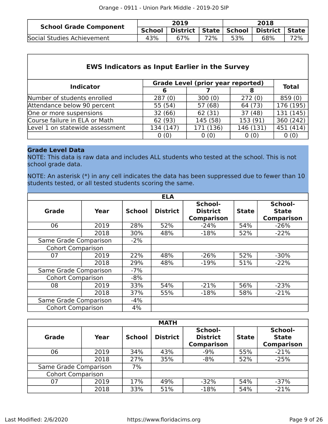| <b>School Grade Component</b> |               | 2019                      |     | 2018 |                  |     |
|-------------------------------|---------------|---------------------------|-----|------|------------------|-----|
|                               | <b>School</b> | District   State   School |     |      | District   State |     |
| Social Studies Achievement    | 43%           | 67%                       | 72% | 53%  | 68%              | 72% |

| <b>EWS Indicators as Input Earlier in the Survey</b> |                                          |           |           |                        |  |  |  |  |  |  |
|------------------------------------------------------|------------------------------------------|-----------|-----------|------------------------|--|--|--|--|--|--|
|                                                      | <b>Grade Level (prior year reported)</b> |           |           |                        |  |  |  |  |  |  |
| <b>Indicator</b>                                     | 6                                        |           | 8         | <b>Total</b>           |  |  |  |  |  |  |
| Number of students enrolled                          | 287(0)                                   | 300(0)    | 272(0)    | 859(0)                 |  |  |  |  |  |  |
| Attendance below 90 percent                          | 55 (54)                                  | 57 (68)   | 64 (73)   | 176 (195)              |  |  |  |  |  |  |
| One or more suspensions                              | 32 (66)                                  | 62 (31)   | 37(48)    | $\overline{131} (145)$ |  |  |  |  |  |  |
| Course failure in ELA or Math                        | 62 (93)                                  | 145 (58)  | 153 (91)  | 360 (242)              |  |  |  |  |  |  |
| Level 1 on statewide assessment                      | 134 (147)                                | 171 (136) | 146 (131) | 451 (414)              |  |  |  |  |  |  |
|                                                      | 0(0)                                     | 0(0)      | 0(0)      | 0(0)                   |  |  |  |  |  |  |

#### **Grade Level Data**

NOTE: This data is raw data and includes ALL students who tested at the school. This is not school grade data.

NOTE: An asterisk (\*) in any cell indicates the data has been suppressed due to fewer than 10 students tested, or all tested students scoring the same.

|                          |       |               | <b>ELA</b>      |                                                                 |     |                                              |  |
|--------------------------|-------|---------------|-----------------|-----------------------------------------------------------------|-----|----------------------------------------------|--|
| <b>Grade</b>             | Year  | <b>School</b> | <b>District</b> | School-<br><b>District</b><br><b>State</b><br><b>Comparison</b> |     | School-<br><b>State</b><br><b>Comparison</b> |  |
| 06                       | 2019  | 28%           | 52%             | $-24%$                                                          | 54% | $-26%$                                       |  |
|                          | 2018  | 30%           | 48%             | $-18%$                                                          | 52% | $-22%$                                       |  |
| Same Grade Comparison    | $-2%$ |               |                 |                                                                 |     |                                              |  |
| <b>Cohort Comparison</b> |       |               |                 |                                                                 |     |                                              |  |
| 07                       | 2019  | 22%           | 48%             | $-26%$                                                          | 52% | $-30%$                                       |  |
|                          | 2018  | 29%           | 48%             | $-19%$                                                          | 51% | $-22%$                                       |  |
| Same Grade Comparison    |       | $-7%$         |                 |                                                                 |     |                                              |  |
| <b>Cohort Comparison</b> |       | $-8%$         |                 |                                                                 |     |                                              |  |
| 08                       | 2019  | 33%           | 54%             | $-21%$                                                          | 56% | $-23%$                                       |  |
|                          | 2018  | 37%           | 55%             | $-18%$                                                          | 58% | $-21%$                                       |  |
| Same Grade Comparison    |       | -4%           |                 |                                                                 |     |                                              |  |
| <b>Cohort Comparison</b> |       | 4%            |                 |                                                                 |     |                                              |  |

| <b>MATH</b>              |      |               |                 |                                                 |     |                                              |  |  |  |  |  |
|--------------------------|------|---------------|-----------------|-------------------------------------------------|-----|----------------------------------------------|--|--|--|--|--|
| Grade<br>Year            |      | <b>School</b> | <b>District</b> | School-<br><b>District</b><br><b>Comparison</b> |     | School-<br><b>State</b><br><b>Comparison</b> |  |  |  |  |  |
| 06                       | 2019 | 34%           | 43%             | $-9%$                                           | 55% | $-21%$                                       |  |  |  |  |  |
|                          | 2018 | 27%           | 35%             | $-8%$                                           | 52% | $-25%$                                       |  |  |  |  |  |
| Same Grade Comparison    |      | 7%            |                 |                                                 |     |                                              |  |  |  |  |  |
| <b>Cohort Comparison</b> |      |               |                 |                                                 |     |                                              |  |  |  |  |  |
| 07                       | 2019 | 17%           | 49%             | $-32%$                                          | 54% | $-37%$                                       |  |  |  |  |  |
|                          | 2018 | 33%           | 51%             | $-18%$                                          | 54% | $-21%$                                       |  |  |  |  |  |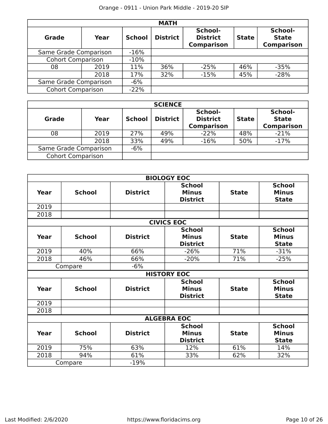| <b>MATH</b>              |                          |               |                 |                                                 |              |                                              |  |  |  |  |
|--------------------------|--------------------------|---------------|-----------------|-------------------------------------------------|--------------|----------------------------------------------|--|--|--|--|
| <b>Grade</b>             | Year                     | <b>School</b> | <b>District</b> | School-<br><b>District</b><br><b>Comparison</b> | <b>State</b> | School-<br><b>State</b><br><b>Comparison</b> |  |  |  |  |
|                          | Same Grade Comparison    |               |                 |                                                 |              |                                              |  |  |  |  |
|                          | <b>Cohort Comparison</b> |               |                 |                                                 |              |                                              |  |  |  |  |
| 08                       | 2019                     | 11%           | 36%             | $-25%$                                          | 46%          | $-35%$                                       |  |  |  |  |
|                          | 2018                     | 17%           | 32%             | $-15%$                                          | 45%          | $-28%$                                       |  |  |  |  |
| Same Grade Comparison    |                          | $-6%$         |                 |                                                 |              |                                              |  |  |  |  |
| <b>Cohort Comparison</b> |                          | $-22%$        |                 |                                                 |              |                                              |  |  |  |  |

| <b>SCIENCE</b>           |       |               |                 |                                                 |              |                                              |  |  |  |
|--------------------------|-------|---------------|-----------------|-------------------------------------------------|--------------|----------------------------------------------|--|--|--|
| <b>Grade</b>             | Year  | <b>School</b> | <b>District</b> | School-<br><b>District</b><br><b>Comparison</b> | <b>State</b> | School-<br><b>State</b><br><b>Comparison</b> |  |  |  |
| 08                       | 2019  | 27%           | 49%             | $-22%$                                          | 48%          | $-21%$                                       |  |  |  |
|                          | 2018  | 33%           | 49%             | $-16%$                                          | 50%          | $-17%$                                       |  |  |  |
| Same Grade Comparison    | $-6%$ |               |                 |                                                 |              |                                              |  |  |  |
| <b>Cohort Comparison</b> |       |               |                 |                                                 |              |                                              |  |  |  |

|             |               |                 | <b>BIOLOGY EOC</b>                               |              |                                               |
|-------------|---------------|-----------------|--------------------------------------------------|--------------|-----------------------------------------------|
| Year        | <b>School</b> | <b>District</b> | <b>School</b><br><b>Minus</b><br><b>District</b> | <b>State</b> | <b>School</b><br><b>Minus</b><br><b>State</b> |
| 2019        |               |                 |                                                  |              |                                               |
| 2018        |               |                 |                                                  |              |                                               |
|             |               |                 | <b>CIVICS EOC</b>                                |              |                                               |
| Year        | <b>School</b> | <b>District</b> | <b>School</b><br><b>Minus</b><br><b>District</b> | <b>State</b> | <b>School</b><br><b>Minus</b><br><b>State</b> |
| 2019        | 40%           | 66%             | $-26%$                                           | 71%          | $-31%$                                        |
| 2018        | 46%           | 66%             | $-20%$                                           | 71%          | $-25%$                                        |
|             | Compare       | $-6%$           |                                                  |              |                                               |
|             |               |                 | <b>HISTORY EOC</b>                               |              |                                               |
| Year        | <b>School</b> | <b>District</b> | <b>School</b><br><b>Minus</b><br><b>District</b> | <b>State</b> | <b>School</b><br><b>Minus</b><br><b>State</b> |
| 2019        |               |                 |                                                  |              |                                               |
| 2018        |               |                 |                                                  |              |                                               |
|             |               |                 | <b>ALGEBRA EOC</b>                               |              |                                               |
| <b>Year</b> | <b>School</b> | <b>District</b> | <b>School</b><br><b>Minus</b><br><b>District</b> | <b>State</b> | <b>School</b><br><b>Minus</b><br><b>State</b> |
| 2019        | 75%           | 63%             | 12%                                              | 61%          | 14%                                           |
| 2018        | 94%           | 61%             | 33%                                              | 62%          | 32%                                           |
|             | Compare       | $-19%$          |                                                  |              |                                               |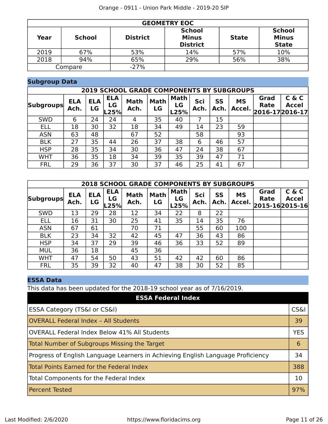|      | <b>GEOMETRY EOC</b> |                 |                                                  |              |                                               |  |  |  |  |  |
|------|---------------------|-----------------|--------------------------------------------------|--------------|-----------------------------------------------|--|--|--|--|--|
| Year | <b>School</b>       | <b>District</b> | <b>School</b><br><b>Minus</b><br><b>District</b> | <b>State</b> | <b>School</b><br><b>Minus</b><br><b>State</b> |  |  |  |  |  |
| 2019 | 67%                 | 53%             | 14%                                              | 57%          | 10%                                           |  |  |  |  |  |
| 2018 | 94%                 | 65%             | 29%                                              | 56%          | 38%                                           |  |  |  |  |  |
|      | Compare             | $-27%$          |                                                  |              |                                               |  |  |  |  |  |

### **Subgroup Data**

|                  | <b>2019 SCHOOL GRADE COMPONENTS BY SUBGROUPS</b> |                  |                          |                     |                   |                           |             |            |                     |                                 |                       |
|------------------|--------------------------------------------------|------------------|--------------------------|---------------------|-------------------|---------------------------|-------------|------------|---------------------|---------------------------------|-----------------------|
| <b>Subgroups</b> | <b>ELA</b><br>Ach.                               | <b>ELA</b><br>LG | <b>ELA</b><br>LG<br>L25% | <b>Math</b><br>Ach. | <b>Math</b><br>LG | <b>Math</b><br>LG<br>L25% | Sci<br>Ach. | SS<br>Ach. | <b>MS</b><br>Accel. | Grad<br>Rate<br>2016-17 2016-17 | C & C<br><b>Accel</b> |
| <b>SWD</b>       | 6                                                | 24               | 24                       | 4                   | 35                | 40                        |             | 15         |                     |                                 |                       |
| <b>ELL</b>       | 18                                               | 30               | 32                       | 18                  | 34                | 49                        | 14          | 23         | 59                  |                                 |                       |
| <b>ASN</b>       | 63                                               | 48               |                          | 67                  | 52                |                           | 58          |            | 93                  |                                 |                       |
| <b>BLK</b>       | 27                                               | 35               | 44                       | 26                  | 37                | 38                        | 6           | 46         | 57                  |                                 |                       |
| <b>HSP</b>       | 28                                               | 35               | 34                       | 30                  | 36                | 47                        | 24          | 38         | 67                  |                                 |                       |
| <b>WHT</b>       | 36                                               | 35               | 18                       | 34                  | 39                | 35                        | 39          | 47         | 71                  |                                 |                       |
| <b>FRL</b>       | 29                                               | 36               | 37                       | 30                  | 37                | 46                        | 25          | 41         | 67                  |                                 |                       |

| <b>2018 SCHOOL GRADE COMPONENTS BY SUBGROUPS</b> |                    |                  |                          |                     |                   |                           |             |                   |                     |              |                                  |
|--------------------------------------------------|--------------------|------------------|--------------------------|---------------------|-------------------|---------------------------|-------------|-------------------|---------------------|--------------|----------------------------------|
| <b>Subgroups</b>                                 | <b>ELA</b><br>Ach. | <b>ELA</b><br>LG | <b>ELA</b><br>LG<br>.25% | <b>Math</b><br>Ach. | <b>Math</b><br>LG | <b>Math</b><br>LG<br>L25% | Sci<br>Ach. | <b>SS</b><br>Ach. | <b>MS</b><br>Accel. | Grad<br>Rate | C & C<br>Accel<br>2015-162015-16 |
| <b>SWD</b>                                       | 13                 | 29               | 28                       | 12                  | 34                | 22                        | 8           | 22                |                     |              |                                  |
| <b>ELL</b>                                       | 16                 | 31               | 30                       | 25                  | 41                | 35                        | 14          | 35                | 76                  |              |                                  |
| <b>ASN</b>                                       | 67                 | 61               |                          | 70                  | 71                |                           | 55          | 60                | 100                 |              |                                  |
| <b>BLK</b>                                       | 23                 | 34               | 32                       | 42                  | 45                | 47                        | 36          | 43                | 86                  |              |                                  |
| <b>HSP</b>                                       | 34                 | 37               | 29                       | 39                  | 46                | 36                        | 33          | 52                | 89                  |              |                                  |
| <b>MUL</b>                                       | 36                 | 18               |                          | 45                  | 36                |                           |             |                   |                     |              |                                  |
| <b>WHT</b>                                       | 47                 | 54               | 50                       | 43                  | 51                | 42                        | 42          | 60                | 86                  |              |                                  |
| <b>FRL</b>                                       | 35                 | 39               | 32                       | 40                  | 47                | 38                        | 30          | 52                | 85                  |              |                                  |

### **ESSA Data**

This data has been updated for the 2018-19 school year as of 7/16/2019.

| <b>ESSA Federal Index</b>                                                       |                 |
|---------------------------------------------------------------------------------|-----------------|
| ESSA Category (TS&I or CS&I)                                                    | <b>CS&amp;I</b> |
| <b>OVERALL Federal Index - All Students</b>                                     | 39              |
| <b>OVERALL Federal Index Below 41% All Students</b>                             | <b>YES</b>      |
| Total Number of Subgroups Missing the Target                                    | 6               |
| Progress of English Language Learners in Achieving English Language Proficiency | 34              |
| Total Points Earned for the Federal Index                                       | 388             |
| Total Components for the Federal Index                                          | 10              |
| <b>Percent Tested</b>                                                           | 97%             |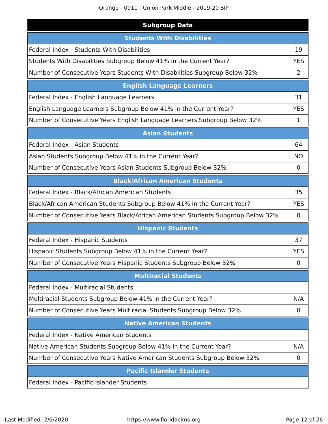Orange - 0911 - Union Park Middle - 2019-20 SIP

| <b>Subgroup Data</b>                                                           |            |  |  |  |  |
|--------------------------------------------------------------------------------|------------|--|--|--|--|
| <b>Students With Disabilities</b>                                              |            |  |  |  |  |
| Federal Index - Students With Disabilities                                     | 19         |  |  |  |  |
| Students With Disabilities Subgroup Below 41% in the Current Year?             |            |  |  |  |  |
| Number of Consecutive Years Students With Disabilities Subgroup Below 32%      | 2          |  |  |  |  |
| <b>English Language Learners</b>                                               |            |  |  |  |  |
| Federal Index - English Language Learners                                      | 31         |  |  |  |  |
| English Language Learners Subgroup Below 41% in the Current Year?              | <b>YES</b> |  |  |  |  |
| Number of Consecutive Years English Language Learners Subgroup Below 32%       | 1          |  |  |  |  |
| <b>Asian Students</b>                                                          |            |  |  |  |  |
| Federal Index - Asian Students                                                 | 64         |  |  |  |  |
| Asian Students Subgroup Below 41% in the Current Year?                         | <b>NO</b>  |  |  |  |  |
| Number of Consecutive Years Asian Students Subgroup Below 32%                  | 0          |  |  |  |  |
| <b>Black/African American Students</b>                                         |            |  |  |  |  |
| Federal Index - Black/African American Students                                | 35         |  |  |  |  |
| Black/African American Students Subgroup Below 41% in the Current Year?        | <b>YES</b> |  |  |  |  |
| Number of Consecutive Years Black/African American Students Subgroup Below 32% | 0          |  |  |  |  |
| <b>Hispanic Students</b>                                                       |            |  |  |  |  |
| Federal Index - Hispanic Students                                              | 37         |  |  |  |  |
| Hispanic Students Subgroup Below 41% in the Current Year?                      | <b>YES</b> |  |  |  |  |
| Number of Consecutive Years Hispanic Students Subgroup Below 32%               | 0          |  |  |  |  |
| <b>Multiracial Students</b>                                                    |            |  |  |  |  |
| Federal Index - Multiracial Students                                           |            |  |  |  |  |
| Multiracial Students Subgroup Below 41% in the Current Year?                   | N/A        |  |  |  |  |
| Number of Consecutive Years Multiracial Students Subgroup Below 32%            | 0          |  |  |  |  |
| <b>Native American Students</b>                                                |            |  |  |  |  |
| Federal Index - Native American Students                                       |            |  |  |  |  |
| Native American Students Subgroup Below 41% in the Current Year?               | N/A        |  |  |  |  |
| Number of Consecutive Years Native American Students Subgroup Below 32%        | 0          |  |  |  |  |
| <b>Pacific Islander Students</b>                                               |            |  |  |  |  |
| Federal Index - Pacific Islander Students                                      |            |  |  |  |  |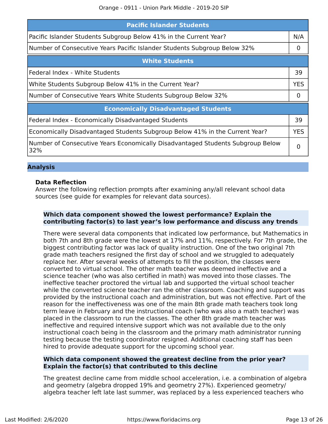| <b>Pacific Islander Students</b>                                                      |            |  |  |  |
|---------------------------------------------------------------------------------------|------------|--|--|--|
| Pacific Islander Students Subgroup Below 41% in the Current Year?                     | N/A        |  |  |  |
| Number of Consecutive Years Pacific Islander Students Subgroup Below 32%              |            |  |  |  |
| <b>White Students</b>                                                                 |            |  |  |  |
| Federal Index - White Students                                                        | 39         |  |  |  |
| White Students Subgroup Below 41% in the Current Year?                                | <b>YES</b> |  |  |  |
| Number of Consecutive Years White Students Subgroup Below 32%                         |            |  |  |  |
| <b>Economically Disadvantaged Students</b>                                            |            |  |  |  |
| Federal Index - Economically Disadvantaged Students                                   | 39         |  |  |  |
| Economically Disadvantaged Students Subgroup Below 41% in the Current Year?           | <b>YES</b> |  |  |  |
| Number of Consecutive Years Economically Disadvantaged Students Subgroup Below<br>32% | $\Omega$   |  |  |  |

#### **Analysis**

#### **Data Refection**

Answer the following refection prompts after examining any/all relevant school data sources (see guide for examples for relevant data sources).

#### **Which data component showed the lowest performance? Explain the contributing factor(s) to last year's low performance and discuss any trends**

There were several data components that indicated low performance, but Mathematics in both 7th and 8th grade were the lowest at 17% and 11%, respectively. For 7th grade, the biggest contributing factor was lack of quality instruction. One of the two original 7th grade math teachers resigned the frst day of school and we struggled to adequately replace her. After several weeks of attempts to fill the position, the classes were converted to virtual school. The other math teacher was deemed inefective and a science teacher (who was also certifed in math) was moved into those classes. The inefective teacher proctored the virtual lab and supported the virtual school teacher while the converted science teacher ran the other classroom. Coaching and support was provided by the instructional coach and administration, but was not efective. Part of the reason for the inefectiveness was one of the main 8th grade math teachers took long term leave in February and the instructional coach (who was also a math teacher) was placed in the classroom to run the classes. The other 8th grade math teacher was inefective and required intensive support which was not available due to the only instructional coach being in the classroom and the primary math administrator running testing because the testing coordinator resigned. Additional coaching staff has been hired to provide adequate support for the upcoming school year.

#### **Which data component showed the greatest decline from the prior year? Explain the factor(s) that contributed to this decline**

The greatest decline came from middle school acceleration, i.e. a combination of algebra and geometry (algebra dropped 19% and geometry 27%). Experienced geometry/ algebra teacher left late last summer, was replaced by a less experienced teachers who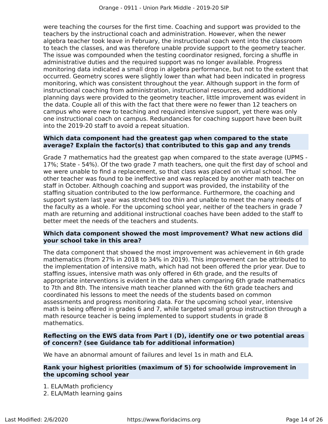were teaching the courses for the frst time. Coaching and support was provided to the teachers by the instructional coach and administration. However, when the newer algebra teacher took leave in February, the instructional coach went into the classroom to teach the classes, and was therefore unable provide support to the geometry teacher. The issue was compounded when the testing coordinator resigned, forcing a shuffle in administrative duties and the required support was no longer available. Progress monitoring data indicated a small drop in algebra performance, but not to the extent that occurred. Geometry scores were slightly lower than what had been indicated in progress monitoring, which was consistent throughout the year. Although support in the form of instructional coaching from administration, instructional resources, and additional planning days were provided to the geometry teacher, little improvement was evident in the data. Couple all of this with the fact that there were no fewer than 12 teachers on campus who were new to teaching and required intensive support, yet there was only one instructional coach on campus. Redundancies for coaching support have been built into the 2019-20 staff to avoid a repeat situation.

#### **Which data component had the greatest gap when compared to the state average? Explain the factor(s) that contributed to this gap and any trends**

Grade 7 mathematics had the greatest gap when compared to the state average (UPMS - 17%; State - 54%). Of the two grade 7 math teachers, one quit the frst day of school and we were unable to fnd a replacement, so that class was placed on virtual school. The other teacher was found to be inefective and was replaced by another math teacher on staff in October. Although coaching and support was provided, the instability of the staffing situation contributed to the low performance. Furthermore, the coaching and support system last year was stretched too thin and unable to meet the many needs of the faculty as a whole. For the upcoming school year, neither of the teachers in grade 7 math are returning and additional instructional coaches have been added to the staf to better meet the needs of the teachers and students.

#### **Which data component showed the most improvement? What new actions did your school take in this area?**

The data component that showed the most improvement was achievement in 6th grade mathematics (from 27% in 2018 to 34% in 2019). This improvement can be attributed to the implementation of intensive math, which had not been ofered the prior year. Due to staffing issues, intensive math was only offered in 6th grade, and the results of appropriate interventions is evident in the data when comparing 6th grade mathematics to 7th and 8th. The intensive math teacher planned with the 6th grade teachers and coordinated his lessons to meet the needs of the students based on common assessments and progress monitoring data. For the upcoming school year, intensive math is being ofered in grades 6 and 7, while targeted small group instruction through a math resource teacher is being implemented to support students in grade 8 mathematics.

#### **Refecting on the EWS data from Part I (D), identify one or two potential areas of concern? (see Guidance tab for additional information)**

We have an abnormal amount of failures and level 1s in math and ELA.

#### **Rank your highest priorities (maximum of 5) for schoolwide improvement in the upcoming school year**

- 1. ELA/Math proficiency
- 2. ELA/Math learning gains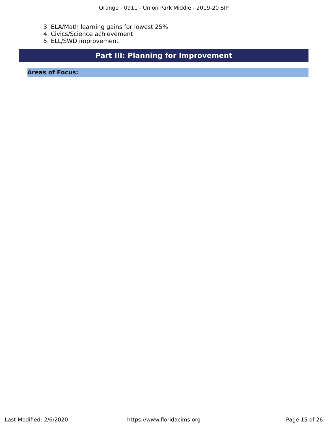- 3. ELA/Math learning gains for lowest 25%
- 4. Civics/Science achievement
- 5. ELL/SWD improvement

## **Part III: Planning for Improvement**

<span id="page-14-0"></span>**Areas of Focus:**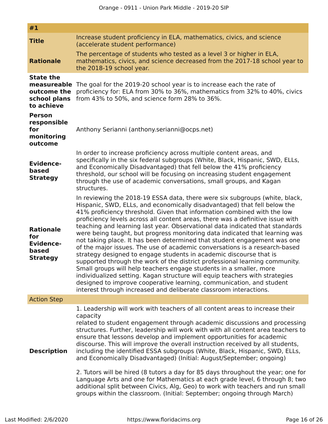| #1                                                                           |                                                                                                                                                                                                                                                                                                                                                                                                                                                                                                                                                                                                                                                                                                                                                                                                                                                                                                                                                                                                                                                                                                      |
|------------------------------------------------------------------------------|------------------------------------------------------------------------------------------------------------------------------------------------------------------------------------------------------------------------------------------------------------------------------------------------------------------------------------------------------------------------------------------------------------------------------------------------------------------------------------------------------------------------------------------------------------------------------------------------------------------------------------------------------------------------------------------------------------------------------------------------------------------------------------------------------------------------------------------------------------------------------------------------------------------------------------------------------------------------------------------------------------------------------------------------------------------------------------------------------|
| <b>Title</b><br><b>Rationale</b>                                             | Increase student proficiency in ELA, mathematics, civics, and science<br>(accelerate student performance)<br>The percentage of students who tested as a level 3 or higher in ELA,<br>mathematics, civics, and science decreased from the 2017-18 school year to                                                                                                                                                                                                                                                                                                                                                                                                                                                                                                                                                                                                                                                                                                                                                                                                                                      |
|                                                                              | the 2018-19 school year.                                                                                                                                                                                                                                                                                                                                                                                                                                                                                                                                                                                                                                                                                                                                                                                                                                                                                                                                                                                                                                                                             |
| <b>State the</b><br>measureable<br>outcome the<br>school plans<br>to achieve | The goal for the 2019-20 school year is to increase each the rate of<br>proficiency for: ELA from 30% to 36%, mathematics from 32% to 40%, civics<br>from 43% to 50%, and science form 28% to 36%.                                                                                                                                                                                                                                                                                                                                                                                                                                                                                                                                                                                                                                                                                                                                                                                                                                                                                                   |
| <b>Person</b><br>responsible<br>for<br>monitoring<br>outcome                 | Anthony Serianni (anthony.serianni@ocps.net)                                                                                                                                                                                                                                                                                                                                                                                                                                                                                                                                                                                                                                                                                                                                                                                                                                                                                                                                                                                                                                                         |
| <b>Evidence-</b><br>based<br><b>Strategy</b>                                 | In order to increase proficiency across multiple content areas, and<br>specifically in the six federal subgroups (White, Black, Hispanic, SWD, ELLs,<br>and Economically Disadvantaged) that fell below the 41% proficiency<br>threshold, our school will be focusing on increasing student engagement<br>through the use of academic conversations, small groups, and Kagan<br>structures.                                                                                                                                                                                                                                                                                                                                                                                                                                                                                                                                                                                                                                                                                                          |
| <b>Rationale</b><br>for<br><b>Evidence-</b><br>based<br><b>Strategy</b>      | In reviewing the 2018-19 ESSA data, there were six subgroups (white, black,<br>Hispanic, SWD, ELLs, and economically disadvantaged) that fell below the<br>41% proficiency threshold. Given that information combined with the low<br>proficiency levels across all content areas, there was a definitive issue with<br>teaching and learning last year. Observational data indicated that standards<br>were being taught, but progress monitoring data indicated that learning was<br>not taking place. It has been determined that student engagement was one<br>of the major issues. The use of academic conversations is a research-based<br>strategy designed to engage students in academic discourse that is<br>supported through the work of the district professional learning community.<br>Small groups will help teachers engage students in a smaller, more<br>individualized setting. Kagan structure will equip teachers with strategies<br>designed to improve cooperative learning, communication, and student<br>interest through increased and deliberate classroom interactions. |
| <b>Action Step</b>                                                           |                                                                                                                                                                                                                                                                                                                                                                                                                                                                                                                                                                                                                                                                                                                                                                                                                                                                                                                                                                                                                                                                                                      |
| <b>Description</b>                                                           | 1. Leadership will work with teachers of all content areas to increase their<br>capacity<br>related to student engagement through academic discussions and processing<br>structures. Further, leadership will work with with all content area teachers to<br>ensure that lessons develop and implement opportunities for academic<br>discourse. This will improve the overall instruction received by all students,<br>including the identified ESSA subgroups (White, Black, Hispanic, SWD, ELLs,<br>and Economically Disadvantaged) (Initial: August/September; ongoing)<br>2. Tutors will be hired (8 tutors a day for 85 days throughout the year; one for<br>Language Arts and one for Mathematics at each grade level, 6 through 8; two<br>additional split between Civics, Alg, Geo) to work with teachers and run small<br>groups within the classroom. (Initial: September; ongoing through March)                                                                                                                                                                                          |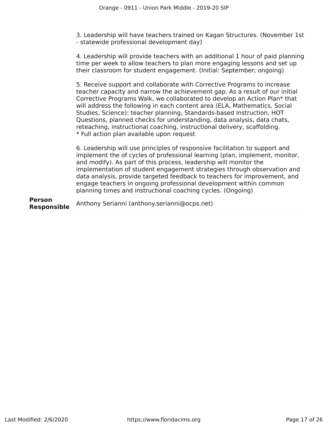3. Leadership will have teachers trained on Kagan Structures. (November 1st - statewide professional development day)

4. Leadership will provide teachers with an additional 1 hour of paid planning time per week to allow teachers to plan more engaging lessons and set up their classroom for student engagement. (Initial: September; ongoing)

5. Receive support and collaborate with Corrective Programs to increase teacher capacity and narrow the achievement gap. As a result of our initial Corrective Programs Walk, we collaborated to develop an Action Plan\* that will address the following in each content area (ELA, Mathematics, Social Studies, Science): teacher planning, Standards-based Instruction, HOT Questions, planned checks for understanding, data analysis, data chats, reteaching, instructional coaching, instructional delivery, scaffolding. \* Full action plan available upon request

6. Leadership will use principles of responsive facilitation to support and implement the of cycles of professional learning (plan, implement, monitor, and modify). As part of this process, leadership will monitor the implementation of student engagement strategies through observation and data analysis, provide targeted feedback to teachers for improvement, and engage teachers in ongoing professional development within common planning times and instructional coaching cycles. (Ongoing)

**Person Responsible** Anthony Serianni (anthony.serianni@ocps.net)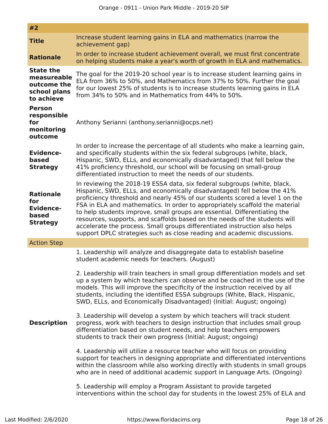| #2                                                                           |                                                                                                                                                                                                                                                                                                                                                                                                                                                                                                                                                                                                                                        |
|------------------------------------------------------------------------------|----------------------------------------------------------------------------------------------------------------------------------------------------------------------------------------------------------------------------------------------------------------------------------------------------------------------------------------------------------------------------------------------------------------------------------------------------------------------------------------------------------------------------------------------------------------------------------------------------------------------------------------|
| <b>Title</b>                                                                 | Increase student learning gains in ELA and mathematics (narrow the<br>achievement gap)                                                                                                                                                                                                                                                                                                                                                                                                                                                                                                                                                 |
| <b>Rationale</b>                                                             | In order to increase student achievement overall, we must first concentrate<br>on helping students make a year's worth of growth in ELA and mathematics.                                                                                                                                                                                                                                                                                                                                                                                                                                                                               |
| <b>State the</b><br>measureable<br>outcome the<br>school plans<br>to achieve | The goal for the 2019-20 school year is to increase student learning gains in<br>ELA from 36% to 50%, and Mathematics from 37% to 50%. Further the goal<br>for our lowest 25% of students is to increase students learning gains in ELA<br>from 34% to 50% and in Mathematics from 44% to 50%.                                                                                                                                                                                                                                                                                                                                         |
| <b>Person</b><br>responsible<br>for<br>monitoring<br>outcome                 | Anthony Serianni (anthony.serianni@ocps.net)                                                                                                                                                                                                                                                                                                                                                                                                                                                                                                                                                                                           |
| <b>Evidence-</b><br>based<br><b>Strategy</b>                                 | In order to increase the percentage of all students who make a learning gain,<br>and specifically students within the six federal subgroups (white, black,<br>Hispanic, SWD, ELLs, and economically disadvantaged) that fell below the<br>41% proficiency threshold, our school will be focusing on small-group<br>differentiated instruction to meet the needs of our students.                                                                                                                                                                                                                                                       |
| <b>Rationale</b><br>for<br><b>Evidence-</b><br>based<br><b>Strategy</b>      | In reviewing the 2018-19 ESSA data, six federal subgroups (white, black,<br>Hispanic, SWD, ELLs, and economically disadvantaged) fell below the 41%<br>proficiency threshold and nearly 45% of our students scored a level 1 on the<br>FSA in ELA and mathematics. In order to appropriately scaffold the material<br>to help students improve, small groups are essential. Differentiating the<br>resources, supports, and scaffolds based on the needs of the students will<br>accelerate the process. Small groups differentiated instruction also helps<br>support DPLC strategies such as close reading and academic discussions. |
| <b>Action Step</b>                                                           |                                                                                                                                                                                                                                                                                                                                                                                                                                                                                                                                                                                                                                        |
|                                                                              | 1. Leadership will analyze and disaggregate data to establish baseline<br>student academic needs for teachers. (August)                                                                                                                                                                                                                                                                                                                                                                                                                                                                                                                |
|                                                                              | 2. Leadership will train teachers in small group differentiation models and set<br>up a system by which teachers can observe and be coached in the use of the<br>models. This will improve the specificity of the instruction received by all<br>students, including the identified ESSA subgroups (White, Black, Hispanic,<br>SWD, ELLs, and Economically Disadvantaged) (Initial: August; ongoing)                                                                                                                                                                                                                                   |
| <b>Description</b>                                                           | 3. Leadership will develop a system by which teachers will track student<br>progress, work with teachers to design instruction that includes small group<br>differentiation based on student needs, and help teachers empowers<br>students to track their own progress (Initial: August; ongoing)                                                                                                                                                                                                                                                                                                                                      |
|                                                                              | 4. Leadership will utilize a resource teacher who will focus on providing<br>support for teachers in designing appropriate and differentiated interventions<br>within the classroom while also working directly with students in small groups<br>who are in need of additional academic support in Language Arts. (Ongoing)                                                                                                                                                                                                                                                                                                            |
|                                                                              | 5. Leadership will employ a Program Assistant to provide targeted<br>interventions within the school day for students in the lowest 25% of ELA and                                                                                                                                                                                                                                                                                                                                                                                                                                                                                     |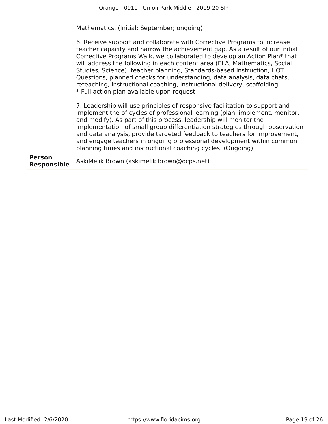Mathematics. (Initial: September; ongoing)

6. Receive support and collaborate with Corrective Programs to increase teacher capacity and narrow the achievement gap. As a result of our initial Corrective Programs Walk, we collaborated to develop an Action Plan\* that will address the following in each content area (ELA, Mathematics, Social Studies, Science): teacher planning, Standards-based Instruction, HOT Questions, planned checks for understanding, data analysis, data chats, reteaching, instructional coaching, instructional delivery, scaffolding. \* Full action plan available upon request

7. Leadership will use principles of responsive facilitation to support and implement the of cycles of professional learning (plan, implement, monitor, and modify). As part of this process, leadership will monitor the implementation of small group diferentiation strategies through observation and data analysis, provide targeted feedback to teachers for improvement, and engage teachers in ongoing professional development within common planning times and instructional coaching cycles. (Ongoing)

**Person Responsible** AskiMelik Brown (askimelik.brown@ocps.net)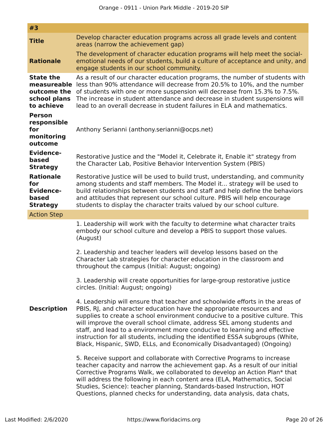| #3                                                                                                                                                                                                                                                                                                                                                                                                                                                                              |                                                                                                                                                                                                                                                                                                                                                                                                                                                                                                                                                          |  |  |  |
|---------------------------------------------------------------------------------------------------------------------------------------------------------------------------------------------------------------------------------------------------------------------------------------------------------------------------------------------------------------------------------------------------------------------------------------------------------------------------------|----------------------------------------------------------------------------------------------------------------------------------------------------------------------------------------------------------------------------------------------------------------------------------------------------------------------------------------------------------------------------------------------------------------------------------------------------------------------------------------------------------------------------------------------------------|--|--|--|
| <b>Title</b>                                                                                                                                                                                                                                                                                                                                                                                                                                                                    | Develop character education programs across all grade levels and content<br>areas (narrow the achievement gap)                                                                                                                                                                                                                                                                                                                                                                                                                                           |  |  |  |
| <b>Rationale</b>                                                                                                                                                                                                                                                                                                                                                                                                                                                                | The development of character education programs will help meet the social-<br>emotional needs of our students, build a culture of acceptance and unity, and<br>engage students in our school community.                                                                                                                                                                                                                                                                                                                                                  |  |  |  |
| As a result of our character education programs, the number of students with<br><b>State the</b><br>less than 90% attendance will decrease from 20.5% to 10%, and the number<br>measureable<br>of students with one or more suspension will decrease from 15.3% to 7.5%.<br>outcome the<br>The increase in student attendance and decrease in student suspensions will<br>school plans<br>to achieve<br>lead to an overall decrease in student failures in ELA and mathematics. |                                                                                                                                                                                                                                                                                                                                                                                                                                                                                                                                                          |  |  |  |
| <b>Person</b><br>responsible<br>Anthony Serianni (anthony.serianni@ocps.net)<br>for<br>monitoring<br>outcome                                                                                                                                                                                                                                                                                                                                                                    |                                                                                                                                                                                                                                                                                                                                                                                                                                                                                                                                                          |  |  |  |
| <b>Evidence-</b><br>based<br><b>Strategy</b>                                                                                                                                                                                                                                                                                                                                                                                                                                    | Restorative Justice and the "Model it, Celebrate it, Enable it" strategy from<br>the Character Lab, Positive Behavior Intervention System (PBIS)                                                                                                                                                                                                                                                                                                                                                                                                         |  |  |  |
| <b>Rationale</b><br>for<br><b>Evidence-</b><br>based<br><b>Strategy</b>                                                                                                                                                                                                                                                                                                                                                                                                         | Restorative Justice will be used to build trust, understanding, and community<br>among students and staff members. The Model it strategy will be used to<br>build relationships between students and staff and help define the behaviors<br>and attitudes that represent our school culture. PBIS will help encourage<br>students to display the character traits valued by our school culture.                                                                                                                                                          |  |  |  |
| <b>Action Step</b>                                                                                                                                                                                                                                                                                                                                                                                                                                                              |                                                                                                                                                                                                                                                                                                                                                                                                                                                                                                                                                          |  |  |  |
|                                                                                                                                                                                                                                                                                                                                                                                                                                                                                 | 1. Leadership will work with the faculty to determine what character traits<br>embody our school culture and develop a PBIS to support those values.<br>(August)<br>2. Leadership and teacher leaders will develop lessons based on the<br>Character Lab strategies for character education in the classroom and                                                                                                                                                                                                                                         |  |  |  |
|                                                                                                                                                                                                                                                                                                                                                                                                                                                                                 | throughout the campus (Initial: August; ongoing)                                                                                                                                                                                                                                                                                                                                                                                                                                                                                                         |  |  |  |
|                                                                                                                                                                                                                                                                                                                                                                                                                                                                                 | 3. Leadership will create opportunities for large-group restorative justice<br>circles. (Initial: August; ongoing)                                                                                                                                                                                                                                                                                                                                                                                                                                       |  |  |  |
| <b>Description</b>                                                                                                                                                                                                                                                                                                                                                                                                                                                              | 4. Leadership will ensure that teacher and schoolwide efforts in the areas of<br>PBIS, RJ, and character education have the appropriate resources and<br>supplies to create a school environment conducive to a positive culture. This<br>will improve the overall school climate, address SEL among students and<br>staff, and lead to a environment more conducive to learning and effective<br>instruction for all students, including the identified ESSA subgroups (White,<br>Black, Hispanic, SWD, ELLs, and Economically Disadvantaged) (Ongoing) |  |  |  |
|                                                                                                                                                                                                                                                                                                                                                                                                                                                                                 | 5. Receive support and collaborate with Corrective Programs to increase<br>teacher capacity and narrow the achievement gap. As a result of our initial<br>Corrective Programs Walk, we collaborated to develop an Action Plan* that<br>will address the following in each content area (ELA, Mathematics, Social<br>Studies, Science): teacher planning, Standards-based Instruction, HOT<br>Questions, planned checks for understanding, data analysis, data chats,                                                                                     |  |  |  |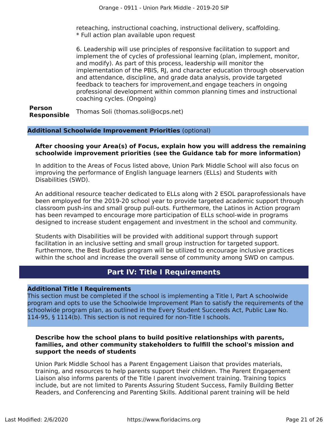reteaching, instructional coaching, instructional delivery, scafolding. \* Full action plan available upon request

6. Leadership will use principles of responsive facilitation to support and implement the of cycles of professional learning (plan, implement, monitor, and modify). As part of this process, leadership will monitor the implementation of the PBIS, RJ, and character education through observation and attendance, discipline, and grade data analysis, provide targeted feedback to teachers for improvement,and engage teachers in ongoing professional development within common planning times and instructional coaching cycles. (Ongoing)

**Person Responsible** Thomas Soli (thomas.soli@ocps.net)

#### **Additional Schoolwide Improvement Priorities** (optional)

#### **After choosing your Area(s) of Focus, explain how you will address the remaining schoolwide improvement priorities (see the Guidance tab for more information)**

In addition to the Areas of Focus listed above, Union Park Middle School will also focus on improving the performance of English language learners (ELLs) and Students with Disabilities (SWD).

An additional resource teacher dedicated to ELLs along with 2 ESOL paraprofessionals have been employed for the 2019-20 school year to provide targeted academic support through classroom push-ins and small group pull-outs. Furthermore, the Latinos in Action program has been revamped to encourage more participation of ELLs school-wide in programs designed to increase student engagement and investment in the school and community.

Students with Disabilities will be provided with additional support through support facilitation in an inclusive setting and small group instruction for targeted support. Furthermore, the Best Buddies program will be utilized to encourage inclusive practices within the school and increase the overall sense of community among SWD on campus.

### **Part IV: Title I Requirements**

#### <span id="page-20-0"></span>**Additional Title I Requirements**

This section must be completed if the school is implementing a Title I, Part A schoolwide program and opts to use the Schoolwide Improvement Plan to satisfy the requirements of the schoolwide program plan, as outlined in the Every Student Succeeds Act, Public Law No. 114-95, § 1114(b). This section is not required for non-Title I schools.

#### **Describe how the school plans to build positive relationships with parents, families, and other community stakeholders to fulfll the school's mission and support the needs of students**

Union Park Middle School has a Parent Engagement Liaison that provides materials, training, and resources to help parents support their children. The Parent Engagement Liaison also informs parents of the Title I parent involvement training. Training topics include, but are not limited to Parents Assuring Student Success, Family Building Better Readers, and Conferencing and Parenting Skills. Additional parent training will be held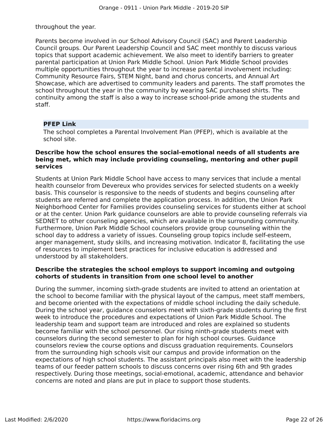throughout the year.

Parents become involved in our School Advisory Council (SAC) and Parent Leadership Council groups. Our Parent Leadership Council and SAC meet monthly to discuss various topics that support academic achievement. We also meet to identify barriers to greater parental participation at Union Park Middle School. Union Park Middle School provides multiple opportunities throughout the year to increase parental involvement including: Community Resource Fairs, STEM Night, band and chorus concerts, and Annual Art Showcase, which are advertised to community leaders and parents. The staf promotes the school throughout the year in the community by wearing SAC purchased shirts. The continuity among the staff is also a way to increase school-pride among the students and staf.

#### **PFEP Link**

The school completes a Parental Involvement Plan (PFEP), which is available at the school site.

#### **Describe how the school ensures the social-emotional needs of all students are being met, which may include providing counseling, mentoring and other pupil services**

Students at Union Park Middle School have access to many services that include a mental health counselor from Devereux who provides services for selected students on a weekly basis. This counselor is responsive to the needs of students and begins counseling after students are referred and complete the application process. In addition, the Union Park Neighborhood Center for Families provides counseling services for students either at school or at the center. Union Park guidance counselors are able to provide counseling referrals via SEDNET to other counseling agencies, which are available in the surrounding community. Furthermore, Union Park Middle School counselors provide group counseling within the school day to address a variety of issues. Counseling group topics include self-esteem, anger management, study skills, and increasing motivation. Indicator 8, facilitating the use of resources to implement best practices for inclusive education is addressed and understood by all stakeholders.

#### **Describe the strategies the school employs to support incoming and outgoing cohorts of students in transition from one school level to another**

During the summer, incoming sixth-grade students are invited to attend an orientation at the school to become familiar with the physical layout of the campus, meet staff members, and become oriented with the expectations of middle school including the daily schedule. During the school year, guidance counselors meet with sixth-grade students during the frst week to introduce the procedures and expectations of Union Park Middle School. The leadership team and support team are introduced and roles are explained so students become familiar with the school personnel. Our rising ninth-grade students meet with counselors during the second semester to plan for high school courses. Guidance counselors review the course options and discuss graduation requirements. Counselors from the surrounding high schools visit our campus and provide information on the expectations of high school students. The assistant principals also meet with the leadership teams of our feeder pattern schools to discuss concerns over rising 6th and 9th grades respectively. During those meetings, social-emotional, academic, attendance and behavior concerns are noted and plans are put in place to support those students.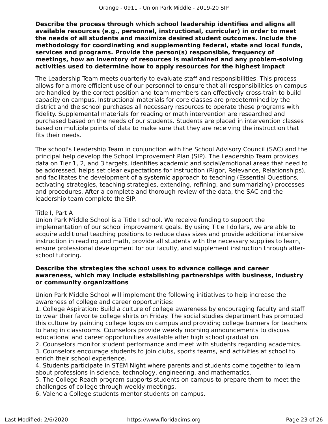**Describe the process through which school leadership identifes and aligns all available resources (e.g., personnel, instructional, curricular) in order to meet the needs of all students and maximize desired student outcomes. Include the methodology for coordinating and supplementing federal, state and local funds, services and programs. Provide the person(s) responsible, frequency of meetings, how an inventory of resources is maintained and any problem-solving activities used to determine how to apply resources for the highest impact**

The Leadership Team meets quarterly to evaluate staff and responsibilities. This process allows for a more efficient use of our personnel to ensure that all responsibilities on campus are handled by the correct position and team members can efectively cross-train to build capacity on campus. Instructional materials for core classes are predetermined by the district and the school purchases all necessary resources to operate these programs with fdelity. Supplemental materials for reading or math intervention are researched and purchased based on the needs of our students. Students are placed in intervention classes based on multiple points of data to make sure that they are receiving the instruction that fits their needs.

The school's Leadership Team in conjunction with the School Advisory Council (SAC) and the principal help develop the School Improvement Plan (SIP). The Leadership Team provides data on Tier 1, 2, and 3 targets, identifes academic and social/emotional areas that need to be addressed, helps set clear expectations for instruction (Rigor, Relevance, Relationships), and facilitates the development of a systemic approach to teaching (Essential Questions, activating strategies, teaching strategies, extending, refning, and summarizing) processes and procedures. After a complete and thorough review of the data, the SAC and the leadership team complete the SIP.

#### Title I, Part A

Union Park Middle School is a Title I school. We receive funding to support the implementation of our school improvement goals. By using Title I dollars, we are able to acquire additional teaching positions to reduce class sizes and provide additional intensive instruction in reading and math, provide all students with the necessary supplies to learn, ensure professional development for our faculty, and supplement instruction through afterschool tutoring.

#### **Describe the strategies the school uses to advance college and career awareness, which may include establishing partnerships with business, industry or community organizations**

Union Park Middle School will implement the following initiatives to help increase the awareness of college and career opportunities:

1. College Aspiration: Build a culture of college awareness by encouraging faculty and staf to wear their favorite college shirts on Friday. The social studies department has promoted this culture by painting college logos on campus and providing college banners for teachers to hang in classrooms. Counselors provide weekly morning announcements to discuss educational and career opportunities available after high school graduation.

2. Counselors monitor student performance and meet with students regarding academics. 3. Counselors encourage students to join clubs, sports teams, and activities at school to enrich their school experience.

4. Students participate in STEM Night where parents and students come together to learn about professions in science, technology, engineering, and mathematics.

5. The College Reach program supports students on campus to prepare them to meet the challenges of college through weekly meetings.

6. Valencia College students mentor students on campus.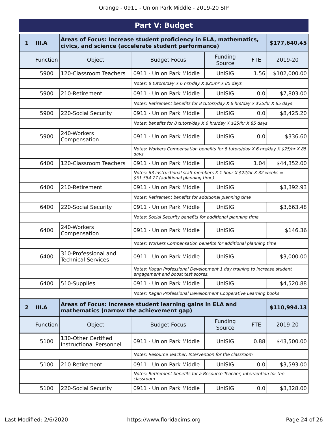<span id="page-23-0"></span>

|              | <b>Part V: Budget</b>                                                                                                              |                                                       |                                                                                                                 |                   |            |              |
|--------------|------------------------------------------------------------------------------------------------------------------------------------|-------------------------------------------------------|-----------------------------------------------------------------------------------------------------------------|-------------------|------------|--------------|
| $\mathbf{1}$ | Areas of Focus: Increase student proficiency in ELA, mathematics,<br>III.A<br>civics, and science (accelerate student performance) |                                                       |                                                                                                                 |                   |            | \$177,640.45 |
|              | Function                                                                                                                           | Object                                                | <b>Budget Focus</b>                                                                                             | Funding<br>Source | <b>FTE</b> | 2019-20      |
|              | 5900                                                                                                                               | 120-Classroom Teachers                                | 0911 - Union Park Middle                                                                                        | UniSIG            | 1.56       | \$102,000.00 |
|              |                                                                                                                                    |                                                       | Notes: 8 tutors/day X 6 hrs/day X \$25/hr X 85 days                                                             |                   |            |              |
|              | 5900                                                                                                                               | 210-Retirement                                        | 0911 - Union Park Middle                                                                                        | UniSIG            | 0.0        | \$7,803.00   |
|              |                                                                                                                                    |                                                       | Notes: Retirement benefits for 8 tutors/day X 6 hrs/day X \$25/hr X 85 days                                     |                   |            |              |
|              | 5900                                                                                                                               | 220-Social Security                                   | 0911 - Union Park Middle                                                                                        | UniSIG            | 0.0        | \$8,425.20   |
|              |                                                                                                                                    |                                                       | Notes: benefits for 8 tutors/day X 6 hrs/day X \$25/hr X 85 days                                                |                   |            |              |
|              | 5900                                                                                                                               | 240-Workers<br>Compensation                           | 0911 - Union Park Middle                                                                                        | UniSIG            | 0.0        | \$336.60     |
|              |                                                                                                                                    |                                                       | Notes: Workers Compensation benefits for 8 tutors/day X 6 hrs/day X \$25/hr X 85<br>days                        |                   |            |              |
|              | 6400                                                                                                                               | 120-Classroom Teachers                                | 0911 - Union Park Middle                                                                                        | UniSIG            | 1.04       | \$44,352.00  |
|              |                                                                                                                                    |                                                       | Notes: 63 instructional staff members X 1 hour X \$22/hr X 32 weeks =<br>\$51,554.77 (additional planning time) |                   |            |              |
|              | 6400                                                                                                                               | 210-Retirement                                        | 0911 - Union Park Middle                                                                                        | UniSIG            |            | \$3,392.93   |
|              |                                                                                                                                    |                                                       | Notes: Retirement benefits for additional planning time                                                         |                   |            |              |
|              | 6400                                                                                                                               | 220-Social Security                                   | 0911 - Union Park Middle                                                                                        | UniSIG            |            | \$3,663.48   |
|              |                                                                                                                                    |                                                       | Notes: Social Security benefits for additional planning time                                                    |                   |            |              |
|              | 6400                                                                                                                               | 240-Workers<br>Compensation                           | 0911 - Union Park Middle                                                                                        | UniSIG            |            | \$146.36     |
|              |                                                                                                                                    |                                                       | Notes: Workers Compensation benefits for additional planning time                                               |                   |            |              |
|              | 6400                                                                                                                               | 310-Professional and<br><b>Technical Services</b>     | 0911 - Union Park Middle                                                                                        | UniSIG            |            | \$3,000.00   |
|              |                                                                                                                                    |                                                       | Notes: Kagan Professional Development 1 day training to increase student<br>engagement and boost test scores.   |                   |            |              |
|              | 6400                                                                                                                               | 510-Supplies                                          | 0911 - Union Park Middle                                                                                        | UniSIG            |            | \$4,520.88   |
|              |                                                                                                                                    |                                                       | Notes: Kagan Professional Development Cooperative Learning books                                                |                   |            |              |
| 2            | <b>III.A</b>                                                                                                                       | mathematics (narrow the achievement gap)              | Areas of Focus: Increase student learning gains in ELA and                                                      |                   |            | \$110,994.13 |
|              | Function                                                                                                                           | Object                                                | <b>Budget Focus</b>                                                                                             | Funding<br>Source | FTE        | 2019-20      |
|              | 5100                                                                                                                               | 130-Other Certified<br><b>Instructional Personnel</b> | 0911 - Union Park Middle                                                                                        | UniSIG            | 0.88       | \$43,500.00  |
|              | Notes: Resource Teacher, Intervention for the classroom                                                                            |                                                       |                                                                                                                 |                   |            |              |
|              | 5100                                                                                                                               | 210-Retirement                                        | 0911 - Union Park Middle                                                                                        | UniSIG            | 0.0        | \$3,593.00   |
|              |                                                                                                                                    |                                                       | Notes: Retirement benefits for a Resource Teacher, Intervention for the<br>classroom                            |                   |            |              |
|              | 5100                                                                                                                               | 220-Social Security                                   | 0911 - Union Park Middle                                                                                        | UniSIG            | 0.0        | \$3,328.00   |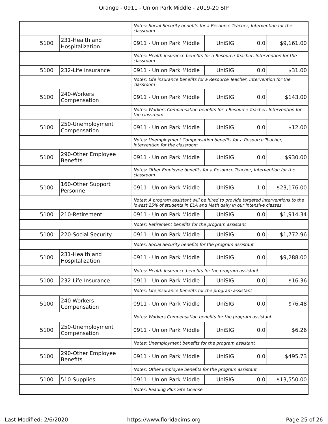|      |                                       | Notes: Social Security benefits for a Resource Teacher, Intervention for the<br>classroom                                                                   |                                                                               |     |             |
|------|---------------------------------------|-------------------------------------------------------------------------------------------------------------------------------------------------------------|-------------------------------------------------------------------------------|-----|-------------|
| 5100 | 231-Health and<br>Hospitalization     | 0911 - Union Park Middle                                                                                                                                    | UniSIG                                                                        | 0.0 | \$9,161.00  |
|      |                                       | Notes: Health insurance benefits for a Resource Teacher, Intervention for the<br>classroom                                                                  |                                                                               |     |             |
| 5100 | 232-Life Insurance                    | 0911 - Union Park Middle                                                                                                                                    | UniSIG                                                                        | 0.0 | \$31.00     |
|      |                                       | Notes: Life insurance benefits for a Resource Teacher, Intervention for the<br>classroom                                                                    |                                                                               |     |             |
| 5100 | 240-Workers<br>Compensation           | 0911 - Union Park Middle                                                                                                                                    | UniSIG                                                                        | 0.0 | \$143.00    |
|      |                                       | the classroom                                                                                                                                               | Notes: Workers Compensation benefits for a Resource Teacher, Intervention for |     |             |
| 5100 | 250-Unemployment<br>Compensation      | 0911 - Union Park Middle                                                                                                                                    | UniSIG                                                                        | 0.0 | \$12.00     |
|      |                                       | Intervention for the classroom                                                                                                                              | Notes: Unemployment Compensation benefits for a Resource Teacher,             |     |             |
| 5100 | 290-Other Employee<br><b>Benefits</b> | 0911 - Union Park Middle                                                                                                                                    | UniSIG                                                                        | 0.0 | \$930.00    |
|      |                                       | Notes: Other Employee benefits for a Resource Teacher, Intervention for the<br>classroom                                                                    |                                                                               |     |             |
| 5100 | 160-Other Support<br>Personnel        | 0911 - Union Park Middle                                                                                                                                    | UniSIG                                                                        | 1.0 | \$23,176.00 |
|      |                                       | Notes: A program assistant will be hired to provide targeted interventions to the<br>lowest 25% of students in ELA and Math daily in our intensive classes. |                                                                               |     |             |
| 5100 | 210-Retirement                        | 0911 - Union Park Middle                                                                                                                                    | UniSIG                                                                        | 0.0 | \$1,914.34  |
|      |                                       | Notes: Retirement benefits for the program assistant                                                                                                        |                                                                               |     |             |
| 5100 | 220-Social Security                   | 0911 - Union Park Middle                                                                                                                                    | UniSIG                                                                        | 0.0 | \$1,772.96  |
|      |                                       | Notes: Social Security benefits for the program assistant                                                                                                   |                                                                               |     |             |
| 5100 | 231-Health and<br>Hospitalization     | 0911 - Union Park Middle                                                                                                                                    | UniSIG                                                                        | 0.0 | \$9,288.00  |
|      |                                       | Notes: Health insurance benefits for the program assistant                                                                                                  |                                                                               |     |             |
| 5100 | 232-Life Insurance                    | 0911 - Union Park Middle                                                                                                                                    | UniSIG                                                                        | 0.0 | \$16.36     |
|      |                                       | Notes: Life insurance benefits for the program assistant                                                                                                    |                                                                               |     |             |
| 5100 | 240-Workers<br>Compensation           | 0911 - Union Park Middle                                                                                                                                    | UniSIG                                                                        | 0.0 | \$76.48     |
|      |                                       | Notes: Workers Compensation benefits for the program assistant                                                                                              |                                                                               |     |             |
| 5100 | 250-Unemployment<br>Compensation      | 0911 - Union Park Middle                                                                                                                                    | UniSIG                                                                        | 0.0 | \$6.26      |
|      |                                       | Notes: Unemployment benefits for the program assistant                                                                                                      |                                                                               |     |             |
| 5100 | 290-Other Employee<br><b>Benefits</b> | 0911 - Union Park Middle                                                                                                                                    | UniSIG                                                                        | 0.0 | \$495.73    |
|      |                                       | Notes: Other Employee benefits for the program assistant                                                                                                    |                                                                               |     |             |
| 5100 | 510-Supplies                          | 0911 - Union Park Middle                                                                                                                                    | UniSIG                                                                        | 0.0 | \$13,550.00 |
|      |                                       | Notes: Reading Plus Site License                                                                                                                            |                                                                               |     |             |